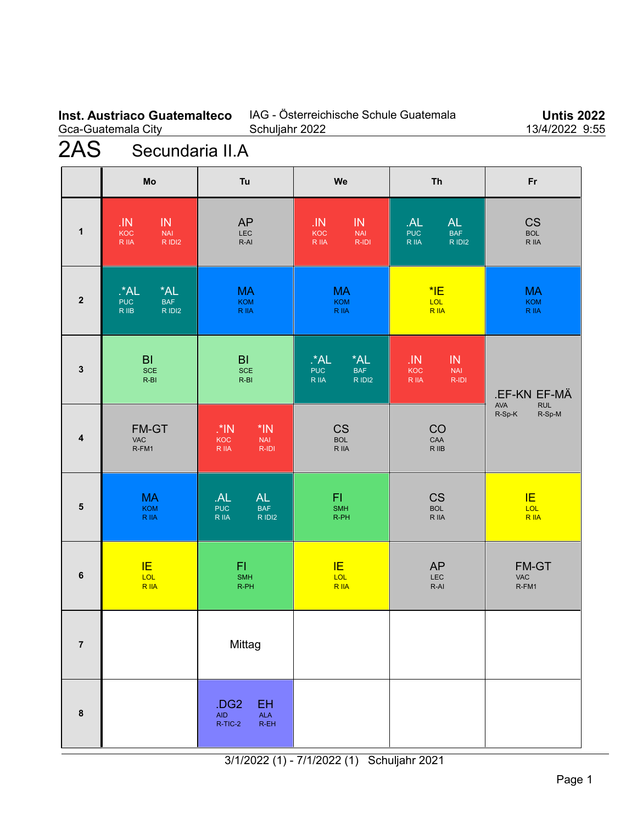### **Inst. Austriaco Guatemalteco** Gca-Guatemala City

#### IAG - Österreichische Schule Guatemala Schuljahr 2022

**Untis 2022** 13/4/2022 9:55

# 2AS Secundaria II.A

|                  | Mo                                                               | Tu                                                             | We                                                                  | Th                                                               | Fr                               |
|------------------|------------------------------------------------------------------|----------------------------------------------------------------|---------------------------------------------------------------------|------------------------------------------------------------------|----------------------------------|
| 1                | IN<br>.1N<br><b>NAI</b><br>KOC<br>R IIA<br>R IDI2                | <b>AP</b><br>LEC<br>$R-AI$                                     | .IN<br>IN<br>KOC<br><b>NAI</b><br>R IIA<br>R-IDI                    | AL<br><b>AL</b><br><b>PUC</b><br><b>BAF</b><br>$R$ IIA<br>R IDI2 | <b>CS</b><br><b>BOL</b><br>R IIA |
| $\overline{2}$   | *AL<br>$A^*A$ .<br><b>BAF</b><br><b>PUC</b><br>$R$ IIB<br>R IDI2 | <b>MA</b><br>KOM<br>R IIA                                      | <b>MA</b><br>KOM<br>R IIA                                           | $*$ IE<br>LOL<br><b>RIIA</b>                                     | <b>MA</b><br>KOM<br>R IIA        |
| $\mathbf{3}$     | B <sub>1</sub><br><b>SCE</b><br>$R-BI$                           | B <sub>l</sub><br><b>SCE</b><br>$R-BI$                         | $A^*A$ .<br>*AL<br><b>PUC</b><br><b>BAF</b><br>R IIA<br>$R$ IDI $2$ | .IN<br>IN<br>NAI<br>KOC<br>R IIA<br>$R$ -IDI                     | .EF-KN EF-MÄ<br><b>RUL</b>       |
| $\boldsymbol{4}$ | FM-GT<br><b>VAC</b><br>R-FM1                                     | $.$ $*$ IN<br>$*IN$<br>KOC<br>NAI<br>R IIA<br>R-IDI            | <b>CS</b><br><b>BOL</b><br>R IIA                                    | CO<br>CAA<br>R IIB                                               | AVA<br>$R-Sp-K$<br>$R-Sp-M$      |
| ${\bf 5}$        | <b>MA</b><br>KOM<br><b>RIIA</b>                                  | AL<br><b>AL</b><br><b>PUC</b><br><b>BAF</b><br>R IIA<br>R IDI2 | F1<br><b>SMH</b><br>$R-PH$                                          | <b>CS</b><br><b>BOL</b><br>R IIA                                 | IE.<br>LOL<br><b>RIIA</b>        |
| 6                | IE<br>LOL<br><b>RIIA</b>                                         | F1<br><b>SMH</b><br>$R-PH$                                     | IE<br>LOL<br><b>RIIA</b>                                            | <b>AP</b><br>LEC<br>R-AI                                         | FM-GT<br>VAC<br>R-FM1            |
| $\overline{7}$   |                                                                  | Mittag                                                         |                                                                     |                                                                  |                                  |
| 8                |                                                                  | .DG2<br>EH<br><b>ALA</b><br><b>AID</b><br>R-TIC-2<br>R-EH      |                                                                     |                                                                  |                                  |

3/1/2022 (1) - 7/1/2022 (1) Schuljahr 2021